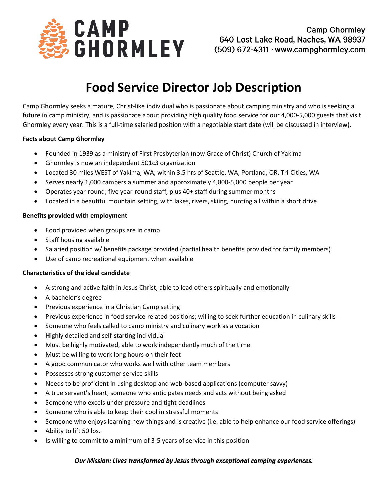

# **Food Service Director Job Description**

Camp Ghormley seeks a mature, Christ-like individual who is passionate about camping ministry and who is seeking a future in camp ministry, and is passionate about providing high quality food service for our 4,000-5,000 guests that visit Ghormley every year. This is a full-time salaried position with a negotiable start date (will be discussed in interview).

## **Facts about Camp Ghormley**

- Founded in 1939 as a ministry of First Presbyterian (now Grace of Christ) Church of Yakima
- Ghormley is now an independent 501c3 organization
- Located 30 miles WEST of Yakima, WA; within 3.5 hrs of Seattle, WA, Portland, OR, Tri-Cities, WA
- Serves nearly 1,000 campers a summer and approximately 4,000-5,000 people per year
- Operates year-round; five year-round staff, plus 40+ staff during summer months
- Located in a beautiful mountain setting, with lakes, rivers, skiing, hunting all within a short drive

### **Benefits provided with employment**

- Food provided when groups are in camp
- Staff housing available
- Salaried position w/ benefits package provided (partial health benefits provided for family members)
- Use of camp recreational equipment when available

## **Characteristics of the ideal candidate**

- A strong and active faith in Jesus Christ; able to lead others spiritually and emotionally
- A bachelor's degree
- Previous experience in a Christian Camp setting
- Previous experience in food service related positions; willing to seek further education in culinary skills
- Someone who feels called to camp ministry and culinary work as a vocation
- Highly detailed and self-starting individual
- Must be highly motivated, able to work independently much of the time
- Must be willing to work long hours on their feet
- A good communicator who works well with other team members
- Possesses strong customer service skills
- Needs to be proficient in using desktop and web-based applications (computer savvy)
- A true servant's heart; someone who anticipates needs and acts without being asked
- Someone who excels under pressure and tight deadlines
- Someone who is able to keep their cool in stressful moments
- Someone who enjoys learning new things and is creative (i.e. able to help enhance our food service offerings)
- Ability to lift 50 lbs.
- Is willing to commit to a minimum of 3-5 years of service in this position

## *Our Mission: Lives transformed by Jesus through exceptional camping experiences.*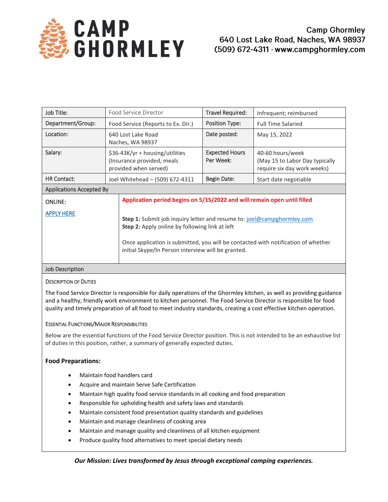

| Job Title:                      | Food Service Director                                                                  |                                                                                                                                                                                                                                                                                   | Travel Required:                   | Infrequent; reimbursed                                                            |
|---------------------------------|----------------------------------------------------------------------------------------|-----------------------------------------------------------------------------------------------------------------------------------------------------------------------------------------------------------------------------------------------------------------------------------|------------------------------------|-----------------------------------------------------------------------------------|
| Department/Group:               | Food Service (Reports to Ex. Dir.)                                                     |                                                                                                                                                                                                                                                                                   | Position Type:                     | <b>Full Time Salaried</b>                                                         |
| Location:                       | 640 Lost Lake Road<br>Naches, WA 98937                                                 |                                                                                                                                                                                                                                                                                   | Date posted:                       | May 15, 2022                                                                      |
| Salary:                         | \$36-43K/yr + housing/utilities<br>(Insurance provided, meals<br>provided when served) |                                                                                                                                                                                                                                                                                   | <b>Expected Hours</b><br>Per Week: | 40-60 hours/week<br>(May 15 to Labor Day typically<br>require six day work weeks) |
| <b>HR Contact:</b>              | Joel Whitehead - (509) 672-4311                                                        |                                                                                                                                                                                                                                                                                   | <b>Begin Date:</b>                 | Start date negotiable                                                             |
| <b>Applications Accepted By</b> |                                                                                        |                                                                                                                                                                                                                                                                                   |                                    |                                                                                   |
| <b>ONLINE:</b>                  |                                                                                        | Application period begins on 5/15/2022 and will remain open until filled                                                                                                                                                                                                          |                                    |                                                                                   |
| <b>APPLY HERE</b>               |                                                                                        | <b>Step 1:</b> Submit job inquiry letter and resume to: joel@campghormley.com<br><b>Step 2:</b> Apply online by following link at left<br>Once application is submitted, you will be contacted with notification of whether<br>initial Skype/In Person interview will be granted. |                                    |                                                                                   |
| Job Description                 |                                                                                        |                                                                                                                                                                                                                                                                                   |                                    |                                                                                   |

#### DESCRIPTION OF DUTIES

The Food Service Director is responsible for daily operations of the Ghormley kitchen, as well as providing guidance and a healthy, friendly work environment to kitchen personnel. The Food Service Director is responsible for food quality and timely preparation of all food to meet industry standards, creating a cost effective kitchen operation.

## ESSENTIAL FUNCTIONS/MAJOR RESPONSIBILITIES

Below are the essential functions of the Food Service Director position. This is not intended to be an exhaustive list of duties in this position, rather, a summary of generally expected duties.

## **Food Preparations:**

- Maintain food handlers card
- Acquire and maintain Serve Safe Certification
- Maintain high quality food service standards in all cooking and food preparation
- Responsible for upholding health and safety laws and standards
- Maintain consistent food presentation quality standards and guidelines
- Maintain and manage cleanliness of cooking area
- Maintain and manage quality and cleanliness of all kitchen equipment
- Produce quality food alternatives to meet special dietary needs

## *Our Mission: Lives transformed by Jesus through exceptional camping experiences.*